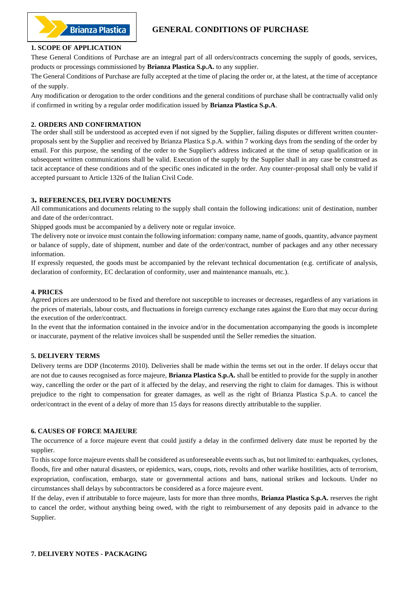# **1. SCOPE OF APPLICATION**

These General Conditions of Purchase are an integral part of all orders/contracts concerning the supply of goods, services, products or processings commissioned by **Brianza Plastica S.p.A.** to any supplier.

The General Conditions of Purchase are fully accepted at the time of placing the order or, at the latest, at the time of acceptance of the supply.

Any modification or derogation to the order conditions and the general conditions of purchase shall be contractually valid only if confirmed in writing by a regular order modification issued by **Brianza Plastica S.p.A**.

## **2. ORDERS AND CONFIRMATION**

The order shall still be understood as accepted even if not signed by the Supplier, failing disputes or different written counterproposals sent by the Supplier and received by Brianza Plastica S.p.A. within 7 working days from the sending of the order by email. For this purpose, the sending of the order to the Supplier's address indicated at the time of setup qualification or in subsequent written communications shall be valid. Execution of the supply by the Supplier shall in any case be construed as tacit acceptance of these conditions and of the specific ones indicated in the order. Any counter-proposal shall only be valid if accepted pursuant to Article 1326 of the Italian Civil Code.

## **3. REFERENCES, DELIVERY DOCUMENTS**

All communications and documents relating to the supply shall contain the following indications: unit of destination, number and date of the order/contract.

Shipped goods must be accompanied by a delivery note or regular invoice.

The delivery note or invoice must contain the following information: company name, name of goods, quantity, advance payment or balance of supply, date of shipment, number and date of the order/contract, number of packages and any other necessary information.

If expressly requested, the goods must be accompanied by the relevant technical documentation (e.g. certificate of analysis, declaration of conformity, EC declaration of conformity, user and maintenance manuals, etc.).

## **4. PRICES**

Agreed prices are understood to be fixed and therefore not susceptible to increases or decreases, regardless of any variations in the prices of materials, labour costs, and fluctuations in foreign currency exchange rates against the Euro that may occur during the execution of the order/contract.

In the event that the information contained in the invoice and/or in the documentation accompanying the goods is incomplete or inaccurate, payment of the relative invoices shall be suspended until the Seller remedies the situation.

## **5. DELIVERY TERMS**

Delivery terms are DDP (Incoterms 2010). Deliveries shall be made within the terms set out in the order. If delays occur that are not due to causes recognised as force majeure, **Brianza Plastica S.p.A.** shall be entitled to provide for the supply in another way, cancelling the order or the part of it affected by the delay, and reserving the right to claim for damages. This is without prejudice to the right to compensation for greater damages, as well as the right of Brianza Plastica S.p.A. to cancel the order/contract in the event of a delay of more than 15 days for reasons directly attributable to the supplier.

## **6. CAUSES OF FORCE MAJEURE**

The occurrence of a force majeure event that could justify a delay in the confirmed delivery date must be reported by the supplier.

To this scope force majeure events shall be considered as unforeseeable events such as, but not limited to: earthquakes, cyclones, floods, fire and other natural disasters, or epidemics, wars, coups, riots, revolts and other warlike hostilities, acts of terrorism, expropriation, confiscation, embargo, state or governmental actions and bans, national strikes and lockouts. Under no circumstances shall delays by subcontractors be considered as a force majeure event.

If the delay, even if attributable to force majeure, lasts for more than three months, **Brianza Plastica S.p.A.** reserves the right to cancel the order, without anything being owed, with the right to reimbursement of any deposits paid in advance to the Supplier.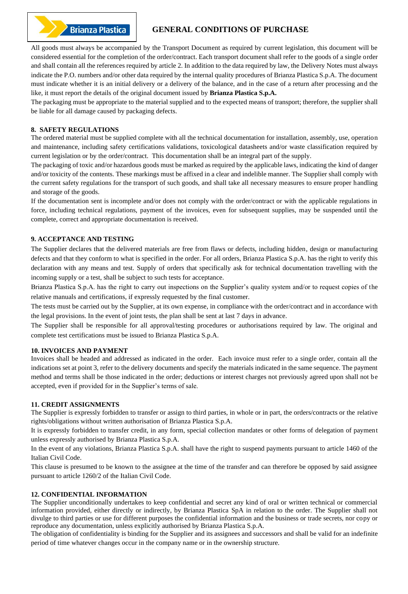# **Brianza Plastica**

# **GENERAL CONDITIONS OF PURCHASE**

All goods must always be accompanied by the Transport Document as required by current legislation, this document will be considered essential for the completion of the order/contract. Each transport document shall refer to the goods of a single order and shall contain all the references required by article 2. In addition to the data required by law, the Delivery Notes must always indicate the P.O. numbers and/or other data required by the internal quality procedures of Brianza Plastica S.p.A. The document must indicate whether it is an initial delivery or a delivery of the balance, and in the case of a return after processing and the like, it must report the details of the original document issued by **Brianza Plastica S.p.A.**

The packaging must be appropriate to the material supplied and to the expected means of transport; therefore, the supplier shall be liable for all damage caused by packaging defects.

## **8. SAFETY REGULATIONS**

The ordered material must be supplied complete with all the technical documentation for installation, assembly, use, operation and maintenance, including safety certifications validations, toxicological datasheets and/or waste classification required by current legislation or by the order/contract. This documentation shall be an integral part of the supply.

The packaging of toxic and/or hazardous goods must be marked as required by the applicable laws, indicating the kind of danger and/or toxicity of the contents. These markings must be affixed in a clear and indelible manner. The Supplier shall comply with the current safety regulations for the transport of such goods, and shall take all necessary measures to ensure proper handling and storage of the goods.

If the documentation sent is incomplete and/or does not comply with the order/contract or with the applicable regulations in force, including technical regulations, payment of the invoices, even for subsequent supplies, may be suspended until the complete, correct and appropriate documentation is received.

#### **9. ACCEPTANCE AND TESTING**

The Supplier declares that the delivered materials are free from flaws or defects, including hidden, design or manufacturing defects and that they conform to what is specified in the order. For all orders, Brianza Plastica S.p.A. has the right to verify this declaration with any means and test. Supply of orders that specifically ask for technical documentation travelling with the incoming supply or a test, shall be subject to such tests for acceptance.

Brianza Plastica S.p.A. has the right to carry out inspections on the Supplier's quality system and/or to request copies of the relative manuals and certifications, if expressly requested by the final customer.

The tests must be carried out by the Supplier, at its own expense, in compliance with the order/contract and in accordance with the legal provisions. In the event of joint tests, the plan shall be sent at last 7 days in advance.

The Supplier shall be responsible for all approval/testing procedures or authorisations required by law. The original and complete test certifications must be issued to Brianza Plastica S.p.A.

#### **10. INVOICES AND PAYMENT**

Invoices shall be headed and addressed as indicated in the order. Each invoice must refer to a single order, contain all the indications set at point 3, refer to the delivery documents and specify the materials indicated in the same sequence. The payment method and terms shall be those indicated in the order; deductions or interest charges not previously agreed upon shall not be accepted, even if provided for in the Supplier's terms of sale.

#### **11. CREDIT ASSIGNMENTS**

The Supplier is expressly forbidden to transfer or assign to third parties, in whole or in part, the orders/contracts or the relative rights/obligations without written authorisation of Brianza Plastica S.p.A.

It is expressly forbidden to transfer credit, in any form, special collection mandates or other forms of delegation of payment unless expressly authorised by Brianza Plastica S.p.A.

In the event of any violations, Brianza Plastica S.p.A. shall have the right to suspend payments pursuant to article 1460 of the Italian Civil Code.

This clause is presumed to be known to the assignee at the time of the transfer and can therefore be opposed by said assignee pursuant to article 1260/2 of the Italian Civil Code.

#### **12. CONFIDENTIAL INFORMATION**

The Supplier unconditionally undertakes to keep confidential and secret any kind of oral or written technical or commercial information provided, either directly or indirectly, by Brianza Plastica SpA in relation to the order. The Supplier shall not divulge to third parties or use for different purposes the confidential information and the business or trade secrets, nor copy or reproduce any documentation, unless explicitly authorised by Brianza Plastica S.p.A.

The obligation of confidentiality is binding for the Supplier and its assignees and successors and shall be valid for an indefinite period of time whatever changes occur in the company name or in the ownership structure.